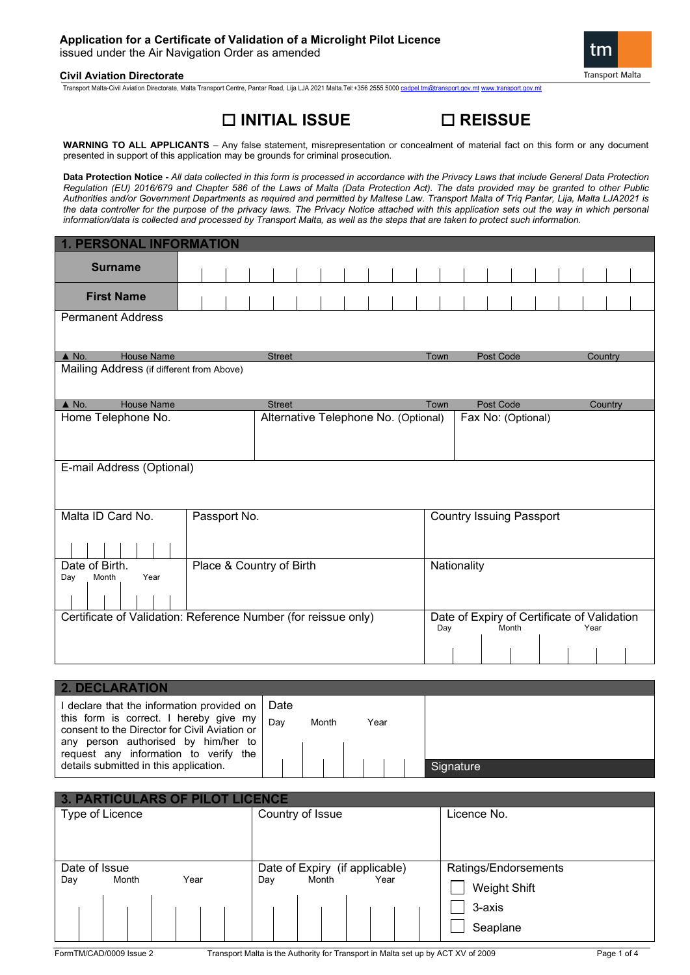Transport Malta-Civil Aviation Directorate, Malta Transport Centre, Pantar Road, Lija LJA 2021 Malta.Tel:+356 2555 5000 [cadpel.tm@transport.gov.mt](mailto:cadpel.tm@transport.gov.mt) [www.transport.gov.mt](http://www.transport.gov.mt/)

# **INITIAL ISSUE REISSUE**

**WARNING TO ALL APPLICANTS** – Any false statement, misrepresentation or concealment of material fact on this form or any document presented in support of this application may be grounds for criminal prosecution.

**Data Protection Notice -** *All data collected in this form is processed in accordance with the Privacy Laws that include General Data Protection Regulation (EU) 2016/679 and Chapter 586 of the Laws of Malta (Data Protection Act). The data provided may be granted to other Public Authorities and/or Government Departments as required and permitted by Maltese Law. Transport Malta of Triq Pantar, Lija, Malta LJA2021 is*  the data controller for the purpose of the privacy laws. The Privacy Notice attached with this application sets out the way in which personal *information/data is collected and processed by Transport Malta, as well as the steps that are taken to protect such information.*

| <b>1. PERSONAL INFORMATION</b>                                                    |              |                                      |  |  |  |      |                                             |           |       |                    |      |         |  |
|-----------------------------------------------------------------------------------|--------------|--------------------------------------|--|--|--|------|---------------------------------------------|-----------|-------|--------------------|------|---------|--|
| <b>Surname</b>                                                                    |              |                                      |  |  |  |      |                                             |           |       |                    |      |         |  |
| <b>First Name</b>                                                                 |              |                                      |  |  |  |      |                                             |           |       |                    |      |         |  |
| <b>Permanent Address</b>                                                          |              |                                      |  |  |  |      |                                             |           |       |                    |      |         |  |
| $\triangle$ No.<br><b>House Name</b>                                              |              | <b>Street</b>                        |  |  |  | Town |                                             | Post Code |       |                    |      | Country |  |
| Mailing Address (if different from Above)                                         |              |                                      |  |  |  |      |                                             |           |       |                    |      |         |  |
| $\triangle$ No.<br><b>House Name</b>                                              |              | <b>Street</b>                        |  |  |  | Town |                                             | Post Code |       |                    |      | Country |  |
| Home Telephone No.                                                                |              | Alternative Telephone No. (Optional) |  |  |  |      |                                             |           |       | Fax No: (Optional) |      |         |  |
| E-mail Address (Optional)                                                         |              |                                      |  |  |  |      |                                             |           |       |                    |      |         |  |
| Malta ID Card No.                                                                 | Passport No. |                                      |  |  |  |      | <b>Country Issuing Passport</b>             |           |       |                    |      |         |  |
| Date of Birth.<br>Place & Country of Birth<br>Nationality<br>Year<br>Day<br>Month |              |                                      |  |  |  |      |                                             |           |       |                    |      |         |  |
| Certificate of Validation: Reference Number (for reissue only)                    |              |                                      |  |  |  | Day  | Date of Expiry of Certificate of Validation |           | Month |                    | Year |         |  |
|                                                                                   |              |                                      |  |  |  |      |                                             |           |       |                    |      |         |  |

**2. DECLARATION** I declare that the information provided on this form is correct. I hereby give my consent to the Director for Civil Aviation or any person authorised by him/her to request any information to verify the details submitted in this application. Date Day Month Year **Signature** 

| 3. PARTICULARS OF PILOT LICENCE |               |      |                                |                      |  |  |
|---------------------------------|---------------|------|--------------------------------|----------------------|--|--|
| Type of Licence                 |               |      | Country of Issue               | Licence No.          |  |  |
|                                 |               |      |                                |                      |  |  |
|                                 |               |      |                                |                      |  |  |
|                                 |               |      |                                |                      |  |  |
|                                 | Date of Issue |      | Date of Expiry (if applicable) | Ratings/Endorsements |  |  |
| Day                             | Month         | Year | Month<br>Year<br>Day           | <b>Weight Shift</b>  |  |  |
|                                 |               |      |                                | 3-axis               |  |  |
|                                 |               |      |                                | Seaplane             |  |  |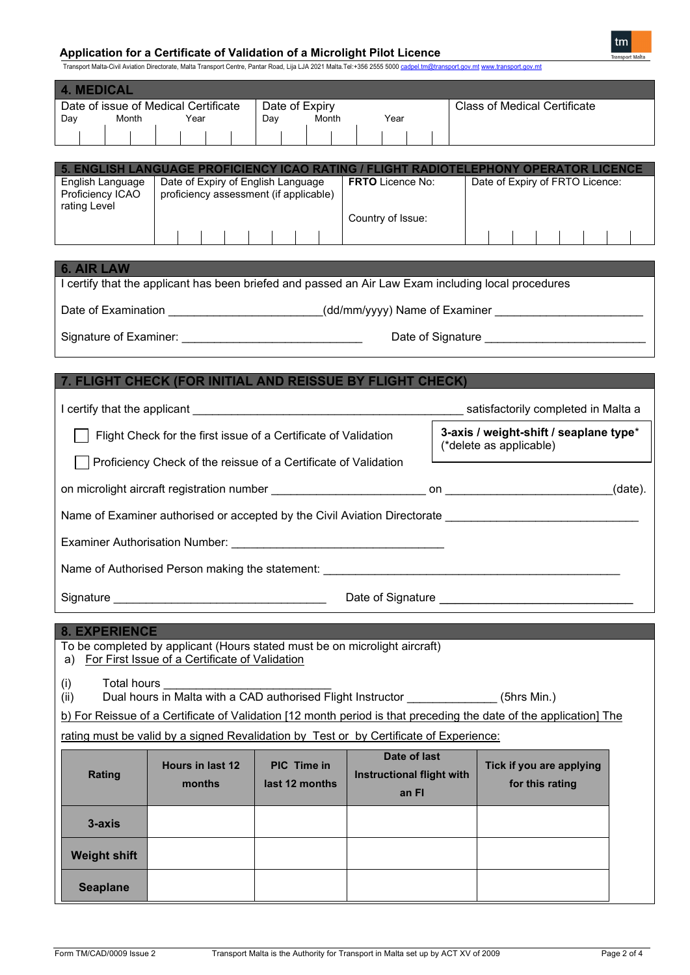# **Application for a Certificate of Validation of a Microlight Pilot Licence**



Transport Malta-Civil Aviation Directorate, Malta Transport Centre, Pantar Road, Lija LJA 2021 Malta.Tel:+356 2555 5000 <u>[cadpel.tm@transport.gov.mt](mailto:cadpel.tm@transport.gov.mt) [www.transport.gov.mt](http://www.transport.gov.mt/)</u>

| <b>4. MEDICAL</b><br>Month<br>Day                                                                                                                                                                                                                                                                                                                                                                                                                                                                      | Date of issue of Medical Certificate<br>Year                                                                                                                         | Date of Expiry<br>Month<br>Day | Year                                                      | <b>Class of Medical Certificate</b>         |  |  |
|--------------------------------------------------------------------------------------------------------------------------------------------------------------------------------------------------------------------------------------------------------------------------------------------------------------------------------------------------------------------------------------------------------------------------------------------------------------------------------------------------------|----------------------------------------------------------------------------------------------------------------------------------------------------------------------|--------------------------------|-----------------------------------------------------------|---------------------------------------------|--|--|
| English Language<br>Proficiency ICAO<br>rating Level                                                                                                                                                                                                                                                                                                                                                                                                                                                   | 5. ENGLISH LANGUAGE PROFICIENCY ICAO RATING / FLIGHT RADIOTELEPHONY OPERATOR LICENCE<br>Date of Expiry of English Language<br>proficiency assessment (if applicable) |                                | <b>FRTO</b> Licence No:<br>Country of Issue:              | Date of Expiry of FRTO Licence:             |  |  |
| <b>6. AIR LAW</b><br>I certify that the applicant has been briefed and passed an Air Law Exam including local procedures<br>Date of Examination _______________________(dd/mm/yyyy) Name of Examiner __________________________                                                                                                                                                                                                                                                                        |                                                                                                                                                                      |                                |                                                           |                                             |  |  |
| 7. FLIGHT CHECK (FOR INITIAL AND REISSUE BY FLIGHT CHECK)<br>I certify that the applicant the control of the control of the control of the state state of the control of the control of the control of the control of the control of the control of the control of the control of the contr<br>3-axis / weight-shift / seaplane type*<br>Flight Check for the first issue of a Certificate of Validation<br>(*delete as applicable)<br>Proficiency Check of the reissue of a Certificate of Validation |                                                                                                                                                                      |                                |                                                           |                                             |  |  |
| Name of Examiner authorised or accepted by the Civil Aviation Directorate expression and the control of the co<br>Name of Authorised Person making the statement: ________________________________                                                                                                                                                                                                                                                                                                     |                                                                                                                                                                      |                                |                                                           |                                             |  |  |
| Signature experience and the state of the state of the state of the state of the state of the state of the state of the state of the state of the state of the state of the state of the state of the state of the state of th                                                                                                                                                                                                                                                                         |                                                                                                                                                                      |                                |                                                           |                                             |  |  |
| <b>8. EXPERIENCE</b><br>To be completed by applicant (Hours stated must be on microlight aircraft)<br>For First Issue of a Certificate of Validation<br>a)<br>Total hours<br>(i)<br>Dual hours in Malta with a CAD authorised Flight Instructor ______________(5hrs Min.)<br>(ii)<br>b) For Reissue of a Certificate of Validation [12 month period is that preceding the date of the application] The<br>rating must be valid by a signed Revalidation by Test or by Certificate of Experience:       |                                                                                                                                                                      |                                |                                                           |                                             |  |  |
| <b>Rating</b>                                                                                                                                                                                                                                                                                                                                                                                                                                                                                          | Hours in last 12<br>months                                                                                                                                           | PIC Time in<br>last 12 months  | Date of last<br><b>Instructional flight with</b><br>an FI | Tick if you are applying<br>for this rating |  |  |
| 3-axis<br><b>Weight shift</b><br><b>Seaplane</b>                                                                                                                                                                                                                                                                                                                                                                                                                                                       |                                                                                                                                                                      |                                |                                                           |                                             |  |  |

H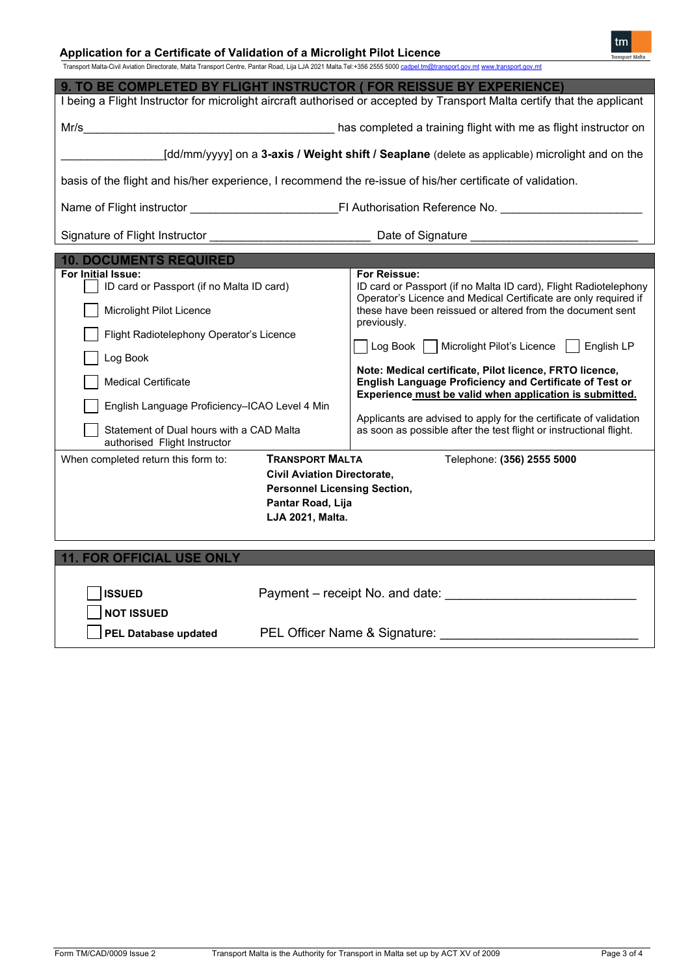# **Application for a Certificate of Validation of a Microlight Pilot Licence**

tm

| Transport Malta-Civil Aviation Directorate, Malta Transport Centre, Pantar Road, Lija LJA 2021 Malta.Tel:+356 2555 5000 cadpel.tm@transport.gov.mt www.transport.gov.mt |  |  |
|-------------------------------------------------------------------------------------------------------------------------------------------------------------------------|--|--|
|                                                                                                                                                                         |  |  |

| 9. TO BE COMPLETED BY FLIGHT INSTRUCTOR ( FOR REISSUE BY EXPERIENCE)                                                     |                                                                                                                                                                               |  |  |  |  |  |
|--------------------------------------------------------------------------------------------------------------------------|-------------------------------------------------------------------------------------------------------------------------------------------------------------------------------|--|--|--|--|--|
| I being a Flight Instructor for microlight aircraft authorised or accepted by Transport Malta certify that the applicant |                                                                                                                                                                               |  |  |  |  |  |
|                                                                                                                          |                                                                                                                                                                               |  |  |  |  |  |
|                                                                                                                          | [dd/mm/yyyy] on a 3-axis / Weight shift / Seaplane (delete as applicable) microlight and on the                                                                               |  |  |  |  |  |
|                                                                                                                          | basis of the flight and his/her experience, I recommend the re-issue of his/her certificate of validation.                                                                    |  |  |  |  |  |
|                                                                                                                          |                                                                                                                                                                               |  |  |  |  |  |
|                                                                                                                          |                                                                                                                                                                               |  |  |  |  |  |
| <b>10. DOCUMENTS REQUIRED</b>                                                                                            |                                                                                                                                                                               |  |  |  |  |  |
| For Initial Issue:<br>ID card or Passport (if no Malta ID card)                                                          | For Reissue:<br>ID card or Passport (if no Malta ID card), Flight Radiotelephony<br>Operator's Licence and Medical Certificate are only required if                           |  |  |  |  |  |
| Microlight Pilot Licence                                                                                                 | these have been reissued or altered from the document sent<br>previously.                                                                                                     |  |  |  |  |  |
| Flight Radiotelephony Operator's Licence                                                                                 | Log Book   Microlight Pilot's Licence     English LP                                                                                                                          |  |  |  |  |  |
| Log Book                                                                                                                 |                                                                                                                                                                               |  |  |  |  |  |
| <b>Medical Certificate</b>                                                                                               | Note: Medical certificate, Pilot licence, FRTO licence,<br>English Language Proficiency and Certificate of Test or<br>Experience must be valid when application is submitted. |  |  |  |  |  |
| English Language Proficiency-ICAO Level 4 Min                                                                            |                                                                                                                                                                               |  |  |  |  |  |
| Statement of Dual hours with a CAD Malta<br>authorised Flight Instructor                                                 | Applicants are advised to apply for the certificate of validation<br>as soon as possible after the test flight or instructional flight.                                       |  |  |  |  |  |
| <b>TRANSPORT MALTA</b><br>When completed return this form to:                                                            | Telephone: (356) 2555 5000                                                                                                                                                    |  |  |  |  |  |
| <b>Civil Aviation Directorate,</b>                                                                                       |                                                                                                                                                                               |  |  |  |  |  |
| <b>Personnel Licensing Section,</b>                                                                                      |                                                                                                                                                                               |  |  |  |  |  |
| Pantar Road, Lija<br>LJA 2021, Malta.                                                                                    |                                                                                                                                                                               |  |  |  |  |  |
|                                                                                                                          |                                                                                                                                                                               |  |  |  |  |  |
|                                                                                                                          |                                                                                                                                                                               |  |  |  |  |  |
| <b>11. FOR OFFICIAL USE ONLY</b>                                                                                         |                                                                                                                                                                               |  |  |  |  |  |

| <b>ISSUED</b><br>NOT ISSUED | Payment – receipt No. and date: |
|-----------------------------|---------------------------------|
| Sumple Set Database updated | PEL Officer Name & Signature:   |